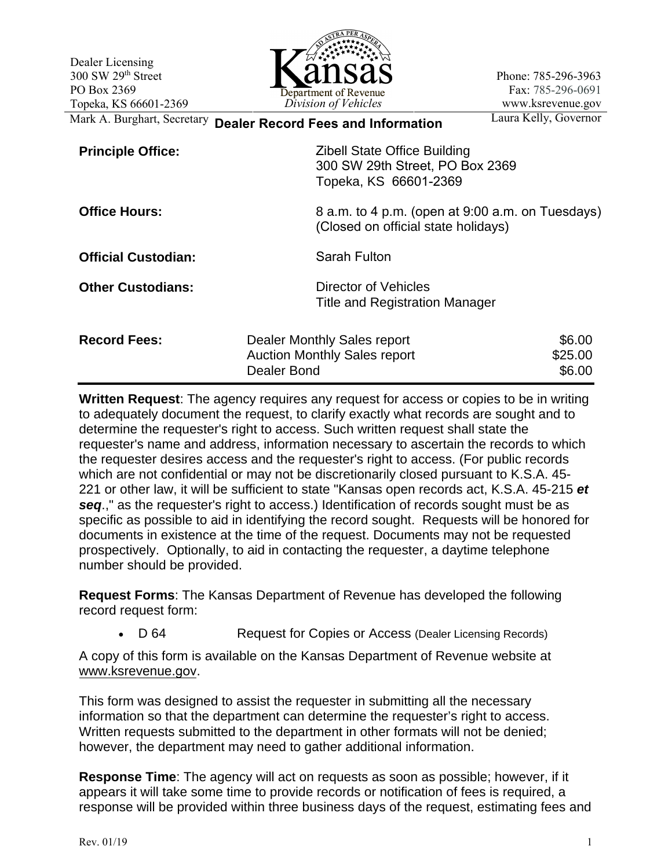

Phone: 785-296-3963 Fax: 785-296-0691 www.ksrevenue.gov Mark A. Burghart, Secretary Dealer Record Fees and Information Laura Kelly, Governor

**Principle Office: Office Hours: Official Custodian: Other Custodians:**  Zibell State Office Building 300 SW 29th Street, PO Box 2369 Topeka, KS 66601-2369 8 a.m. to 4 p.m. (open at 9:00 a.m. on Tuesdays) (Closed on official state holidays) Sarah Fulton Director of Vehicles Title and Registration Manager **Record Fees:** Dealer Monthly Sales report \$6.00 Auction Monthly Sales report \$25.00 Dealer Bond \$6.00

**Written Request**: The agency requires any request for access or copies to be in writing to adequately document the request, to clarify exactly what records are sought and to determine the requester's right to access. Such written request shall state the requester's name and address, information necessary to ascertain the records to which the requester desires access and the requester's right to access. (For public records which are not confidential or may not be discretionarily closed pursuant to K.S.A. 45- 221 or other law, it will be sufficient to state "Kansas open records act, K.S.A. 45-215 *et seq*.," as the requester's right to access.) Identification of records sought must be as specific as possible to aid in identifying the record sought. Requests will be honored for documents in existence at the time of the request. Documents may not be requested prospectively. Optionally, to aid in contacting the requester, a daytime telephone number should be provided.

**Request Forms**: The Kansas Department of Revenue has developed the following record request form:

• D 64 Request for Copies or Access (Dealer Licensing Records)

A copy of this form is available on the Kansas Department of Revenue website at www.ksrevenue.gov.

This form was designed to assist the requester in submitting all the necessary information so that the department can determine the requester's right to access. Written requests submitted to the department in other formats will not be denied; however, the department may need to gather additional information.

**Response Time**: The agency will act on requests as soon as possible; however, if it appears it will take some time to provide records or notification of fees is required, a response will be provided within three business days of the request, estimating fees and